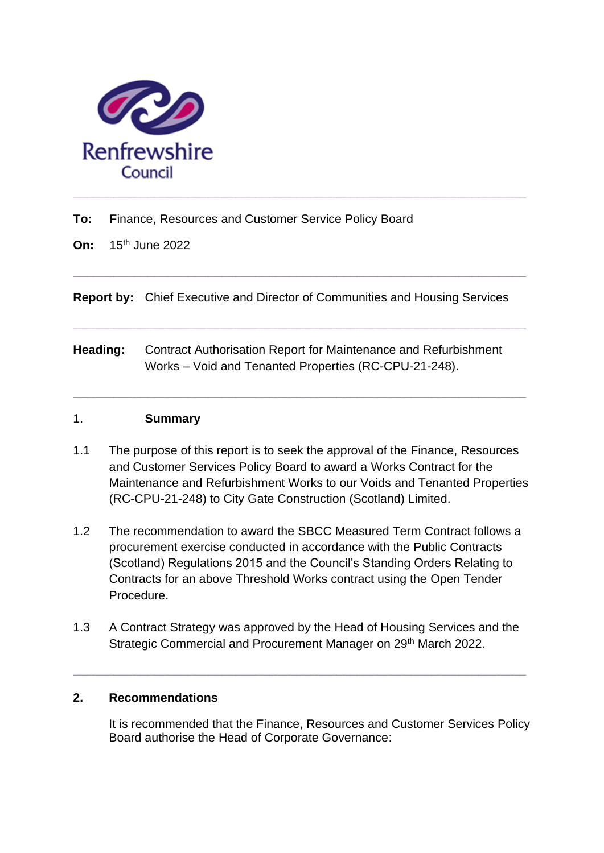

**To:** Finance, Resources and Customer Service Policy Board

**On:** 15th June 2022

**Report by:** Chief Executive and Director of Communities and Housing Services

**\_\_\_\_\_\_\_\_\_\_\_\_\_\_\_\_\_\_\_\_\_\_\_\_\_\_\_\_\_\_\_\_\_\_\_\_\_\_\_\_\_\_\_\_\_\_\_\_\_\_\_\_\_\_\_\_\_\_\_\_\_\_\_\_\_\_\_**

**\_\_\_\_\_\_\_\_\_\_\_\_\_\_\_\_\_\_\_\_\_\_\_\_\_\_\_\_\_\_\_\_\_\_\_\_\_\_\_\_\_\_\_\_\_\_\_\_\_\_\_\_\_\_\_\_\_\_\_\_\_\_\_\_\_\_\_**

**\_\_\_\_\_\_\_\_\_\_\_\_\_\_\_\_\_\_\_\_\_\_\_\_\_\_\_\_\_\_\_\_\_\_\_\_\_\_\_\_\_\_\_\_\_\_\_\_\_\_\_\_\_\_\_\_\_\_\_\_\_\_\_\_\_\_\_**

**Heading:** Contract Authorisation Report for Maintenance and Refurbishment Works – Void and Tenanted Properties (RC-CPU-21-248).

#### 1. **Summary**

- 1.1 The purpose of this report is to seek the approval of the Finance, Resources and Customer Services Policy Board to award a Works Contract for the Maintenance and Refurbishment Works to our Voids and Tenanted Properties (RC-CPU-21-248) to City Gate Construction (Scotland) Limited.
- 1.2 The recommendation to award the SBCC Measured Term Contract follows a procurement exercise conducted in accordance with the Public Contracts (Scotland) Regulations 2015 and the Council's Standing Orders Relating to Contracts for an above Threshold Works contract using the Open Tender Procedure.
- 1.3 A Contract Strategy was approved by the Head of Housing Services and the Strategic Commercial and Procurement Manager on 29<sup>th</sup> March 2022.

**\_\_\_\_\_\_\_\_\_\_\_\_\_\_\_\_\_\_\_\_\_\_\_\_\_\_\_\_\_\_\_\_\_\_\_\_\_\_\_\_\_\_\_\_\_\_\_\_\_\_\_\_\_\_\_\_\_\_\_\_\_\_\_\_\_\_\_**

### **2. Recommendations**

It is recommended that the Finance, Resources and Customer Services Policy Board authorise the Head of Corporate Governance: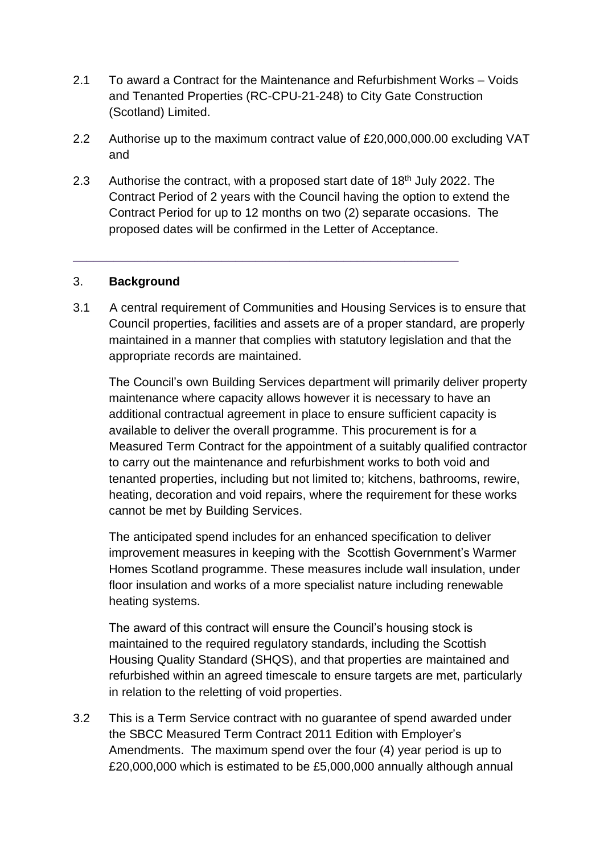- 2.1 To award a Contract for the Maintenance and Refurbishment Works Voids and Tenanted Properties (RC-CPU-21-248) to City Gate Construction (Scotland) Limited.
- 2.2 Authorise up to the maximum contract value of £20,000,000.00 excluding VAT and
- 2.3 Authorise the contract, with a proposed start date of  $18<sup>th</sup>$  July 2022. The Contract Period of 2 years with the Council having the option to extend the Contract Period for up to 12 months on two (2) separate occasions. The proposed dates will be confirmed in the Letter of Acceptance.

\_\_\_\_\_\_\_\_\_\_\_\_\_\_\_\_\_\_\_\_\_\_\_\_\_\_\_\_\_\_\_\_\_\_\_\_\_\_\_\_\_\_\_\_\_\_\_\_\_\_\_\_\_\_\_\_\_

### 3. **Background**

3.1 A central requirement of Communities and Housing Services is to ensure that Council properties, facilities and assets are of a proper standard, are properly maintained in a manner that complies with statutory legislation and that the appropriate records are maintained.

The Council's own Building Services department will primarily deliver property maintenance where capacity allows however it is necessary to have an additional contractual agreement in place to ensure sufficient capacity is available to deliver the overall programme. This procurement is for a Measured Term Contract for the appointment of a suitably qualified contractor to carry out the maintenance and refurbishment works to both void and tenanted properties, including but not limited to; kitchens, bathrooms, rewire, heating, decoration and void repairs, where the requirement for these works cannot be met by Building Services.

The anticipated spend includes for an enhanced specification to deliver improvement measures in keeping with the Scottish Government's Warmer Homes Scotland programme. These measures include wall insulation, under floor insulation and works of a more specialist nature including renewable heating systems.

The award of this contract will ensure the Council's housing stock is maintained to the required regulatory standards, including the Scottish Housing Quality Standard (SHQS), and that properties are maintained and refurbished within an agreed timescale to ensure targets are met, particularly in relation to the reletting of void properties.

3.2 This is a Term Service contract with no guarantee of spend awarded under the SBCC Measured Term Contract 2011 Edition with Employer's Amendments. The maximum spend over the four (4) year period is up to £20,000,000 which is estimated to be £5,000,000 annually although annual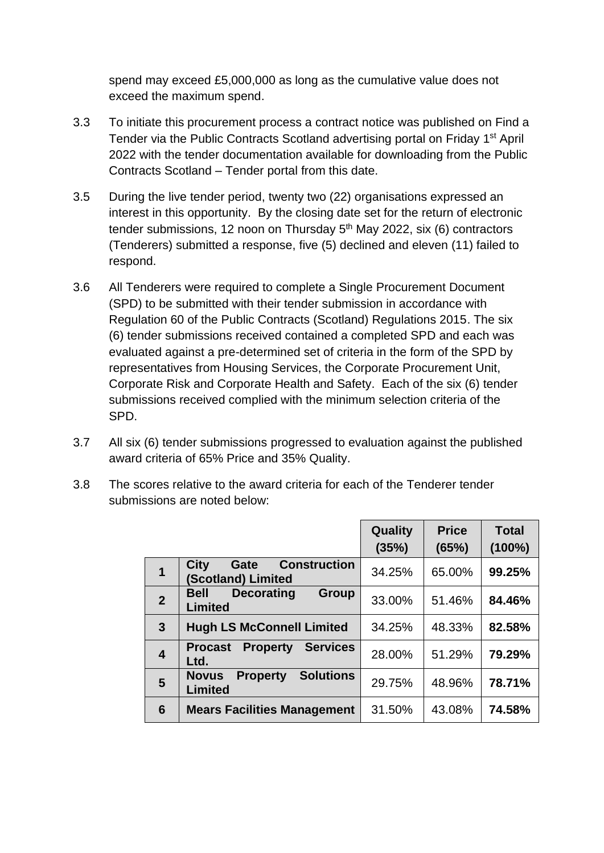spend may exceed £5,000,000 as long as the cumulative value does not exceed the maximum spend.

- 3.3 To initiate this procurement process a contract notice was published on Find a Tender via the Public Contracts Scotland advertising portal on Friday 1<sup>st</sup> April 2022 with the tender documentation available for downloading from the Public Contracts Scotland – Tender portal from this date.
- 3.5 During the live tender period, twenty two (22) organisations expressed an interest in this opportunity. By the closing date set for the return of electronic tender submissions, 12 noon on Thursday  $5<sup>th</sup>$  May 2022, six (6) contractors (Tenderers) submitted a response, five (5) declined and eleven (11) failed to respond.
- 3.6 All Tenderers were required to complete a Single Procurement Document (SPD) to be submitted with their tender submission in accordance with Regulation 60 of the Public Contracts (Scotland) Regulations 2015. The six (6) tender submissions received contained a completed SPD and each was evaluated against a pre-determined set of criteria in the form of the SPD by representatives from Housing Services, the Corporate Procurement Unit, Corporate Risk and Corporate Health and Safety. Each of the six (6) tender submissions received complied with the minimum selection criteria of the SPD.
- 3.7 All six (6) tender submissions progressed to evaluation against the published award criteria of 65% Price and 35% Quality.
- 3.8 The scores relative to the award criteria for each of the Tenderer tender submissions are noted below:

|                         |                                                                       | Quality<br>(35%) | <b>Price</b><br>(65%) | <b>Total</b><br>$(100\%)$ |
|-------------------------|-----------------------------------------------------------------------|------------------|-----------------------|---------------------------|
| $\overline{\mathbf{1}}$ | <b>City</b><br><b>Construction</b><br>Gate<br>(Scotland) Limited      | 34.25%           | 65.00%                | 99.25%                    |
| $\overline{2}$          | <b>Group</b><br><b>Decorating</b><br><b>Bell</b><br><b>Limited</b>    | 33.00%           | 51.46%                | 84.46%                    |
| $\mathbf{3}$            | <b>Hugh LS McConnell Limited</b>                                      | 34.25%           | 48.33%                | 82.58%                    |
| $\overline{\mathbf{4}}$ | <b>Services</b><br><b>Property</b><br><b>Procast</b><br>Ltd.          | 28.00%           | 51.29%                | 79.29%                    |
| 5                       | <b>Solutions</b><br><b>Novus</b><br><b>Property</b><br><b>Limited</b> | 29.75%           | 48.96%                | 78.71%                    |
| $6\phantom{1}6$         | <b>Mears Facilities Management</b>                                    | 31.50%           | 43.08%                | 74.58%                    |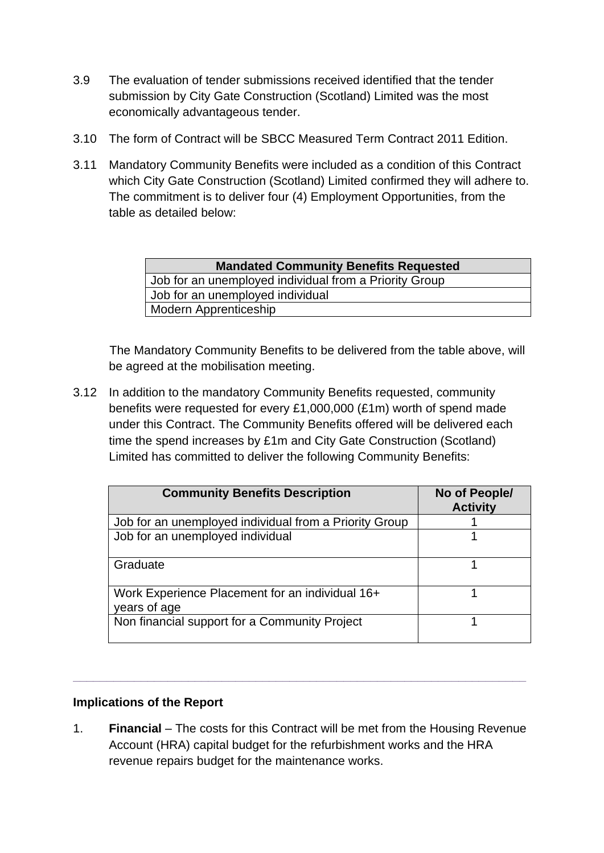- 3.9 The evaluation of tender submissions received identified that the tender submission by City Gate Construction (Scotland) Limited was the most economically advantageous tender.
- 3.10 The form of Contract will be SBCC Measured Term Contract 2011 Edition.
- 3.11 Mandatory Community Benefits were included as a condition of this Contract which City Gate Construction (Scotland) Limited confirmed they will adhere to. The commitment is to deliver four (4) Employment Opportunities, from the table as detailed below:

| <b>Mandated Community Benefits Requested</b>           |  |  |  |
|--------------------------------------------------------|--|--|--|
| Job for an unemployed individual from a Priority Group |  |  |  |
| Job for an unemployed individual                       |  |  |  |
| Modern Apprenticeship                                  |  |  |  |

The Mandatory Community Benefits to be delivered from the table above, will be agreed at the mobilisation meeting.

3.12 In addition to the mandatory Community Benefits requested, community benefits were requested for every £1,000,000 (£1m) worth of spend made under this Contract. The Community Benefits offered will be delivered each time the spend increases by £1m and City Gate Construction (Scotland) Limited has committed to deliver the following Community Benefits:

| <b>Community Benefits Description</b>                           | No of People/<br><b>Activity</b> |
|-----------------------------------------------------------------|----------------------------------|
| Job for an unemployed individual from a Priority Group          |                                  |
| Job for an unemployed individual                                |                                  |
| Graduate                                                        |                                  |
| Work Experience Placement for an individual 16+<br>years of age |                                  |
| Non financial support for a Community Project                   |                                  |

### **Implications of the Report**

1. **Financial** *–* The costs for this Contract will be met from the Housing Revenue Account (HRA) capital budget for the refurbishment works and the HRA revenue repairs budget for the maintenance works.

**\_\_\_\_\_\_\_\_\_\_\_\_\_\_\_\_\_\_\_\_\_\_\_\_\_\_\_\_\_\_\_\_\_\_\_\_\_\_\_\_\_\_\_\_\_\_\_\_\_\_\_\_\_\_\_\_\_\_\_\_\_\_\_\_\_\_\_**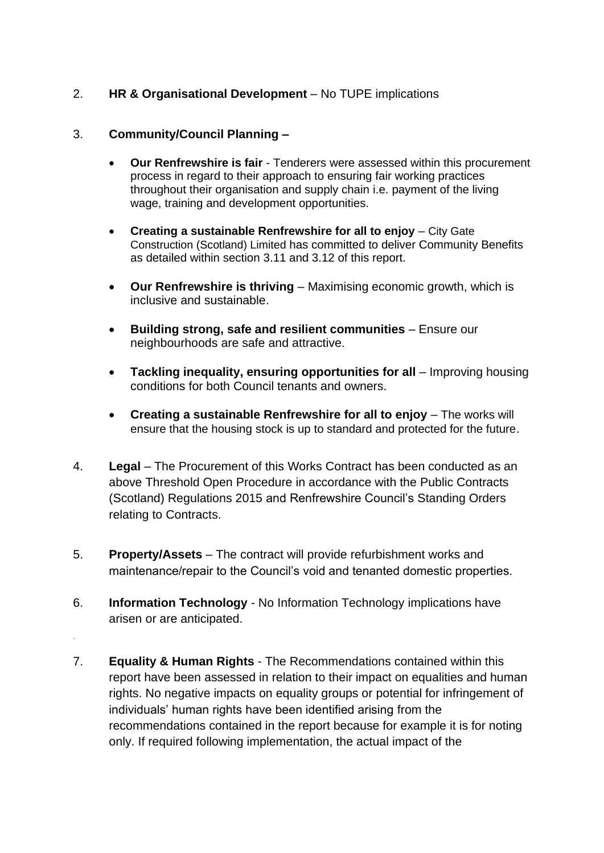## 2. **HR & Organisational Development** *–* No TUPE implications

#### 3. **Community/Council Planning –**

*.* 

- **Our Renfrewshire is fair** Tenderers were assessed within this procurement process in regard to their approach to ensuring fair working practices throughout their organisation and supply chain i.e. payment of the living wage, training and development opportunities.
- **Creating a sustainable Renfrewshire for all to enjoy** City Gate Construction (Scotland) Limited has committed to deliver Community Benefits as detailed within section 3.11 and 3.12 of this report.
- **Our Renfrewshire is thriving** Maximising economic growth, which is inclusive and sustainable.
- **Building strong, safe and resilient communities** Ensure our neighbourhoods are safe and attractive.
- **Tackling inequality, ensuring opportunities for all** Improving housing conditions for both Council tenants and owners.
- **Creating a sustainable Renfrewshire for all to enjoy** The works will ensure that the housing stock is up to standard and protected for the future.
- 4. **Legal** The Procurement of this Works Contract has been conducted as an above Threshold Open Procedure in accordance with the Public Contracts (Scotland) Regulations 2015 and Renfrewshire Council's Standing Orders relating to Contracts.
- 5. **Property/Assets** *–* The contract will provide refurbishment works and maintenance/repair to the Council's void and tenanted domestic properties.
- 6. **Information Technology** *-* No Information Technology implications have arisen or are anticipated.
- 7. **Equality & Human Rights** The Recommendations contained within this report have been assessed in relation to their impact on equalities and human rights. No negative impacts on equality groups or potential for infringement of individuals' human rights have been identified arising from the recommendations contained in the report because for example it is for noting only. If required following implementation, the actual impact of the